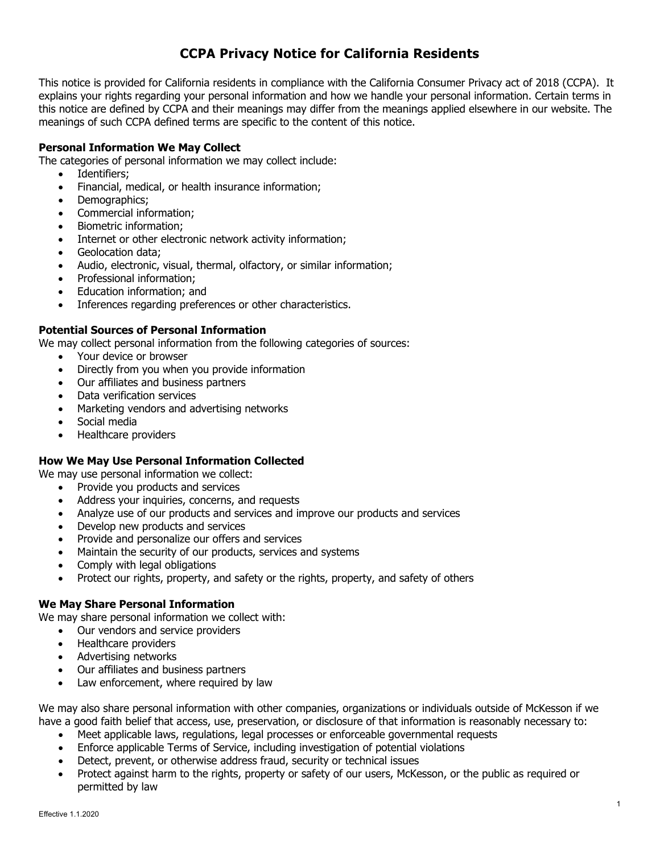# **CCPA Privacy Notice for California Residents**

This notice is provided for California residents in compliance with the California Consumer Privacy act of 2018 (CCPA). It explains your rights regarding your personal information and how we handle your personal information. Certain terms in this notice are defined by CCPA and their meanings may differ from the meanings applied elsewhere in our website. The meanings of such CCPA defined terms are specific to the content of this notice.

### **Personal Information We May Collect**

The categories of personal information we may collect include:

- Identifiers;
- Financial, medical, or health insurance information;
- Demographics:
- Commercial information;
- Biometric information;
- Internet or other electronic network activity information:
- Geolocation data:
- Audio, electronic, visual, thermal, olfactory, or similar information;
- Professional information;
- Education information; and
- Inferences regarding preferences or other characteristics.

#### **Potential Sources of Personal Information**

We may collect personal information from the following categories of sources:

- Your device or browser
- Directly from you when you provide information
- Our affiliates and business partners
- Data verification services
- Marketing vendors and advertising networks
- Social media
- Healthcare providers

#### **How We May Use Personal Information Collected**

We may use personal information we collect:

- Provide you products and services
- Address your inquiries, concerns, and requests
- Analyze use of our products and services and improve our products and services
- Develop new products and services
- Provide and personalize our offers and services
- Maintain the security of our products, services and systems
- Comply with legal obligations
- Protect our rights, property, and safety or the rights, property, and safety of others

#### **We May Share Personal Information**

We may share personal information we collect with:

- Our vendors and service providers
- Healthcare providers
- Advertising networks
- Our affiliates and business partners
- Law enforcement, where required by law

We may also share personal information with other companies, organizations or individuals outside of McKesson if we have a good faith belief that access, use, preservation, or disclosure of that information is reasonably necessary to:

- Meet applicable laws, regulations, legal processes or enforceable governmental requests
- Enforce applicable Terms of Service, including investigation of potential violations
- Detect, prevent, or otherwise address fraud, security or technical issues
- Protect against harm to the rights, property or safety of our users, McKesson, or the public as required or permitted by law